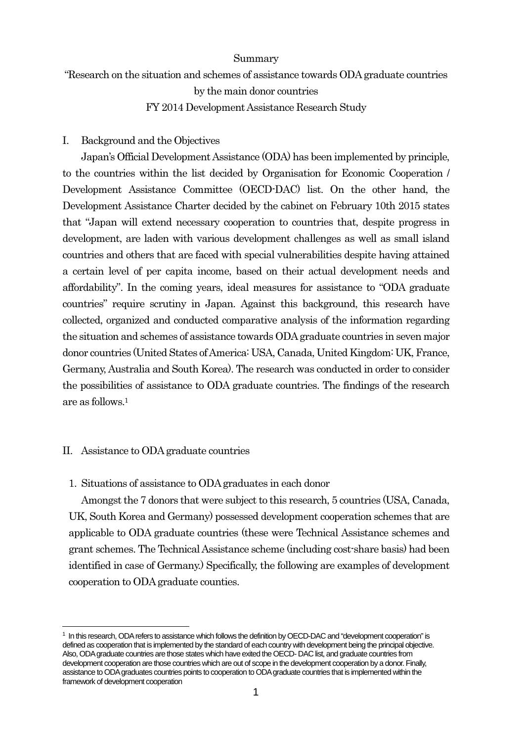### Summary

"Research on the situation and schemes of assistance towards ODA graduate countries by the main donor countries

# FY 2014 Development Assistance Research Study

## I. Background and the Objectives

Japan's Official Development Assistance (ODA) has been implemented by principle, to the countries within the list decided by Organisation for Economic Cooperation / Development Assistance Committee (OECD-DAC) list. On the other hand, the Development Assistance Charter decided by the cabinet on February 10th 2015 states that "Japan will extend necessary cooperation to countries that, despite progress in development, are laden with various development challenges as well as small island countries and others that are faced with special vulnerabilities despite having attained a certain level of per capita income, based on their actual development needs and affordability". In the coming years, ideal measures for assistance to "ODA graduate countries" require scrutiny in Japan. Against this background, this research have collected, organized and conducted comparative analysis of the information regarding the situation and schemes of assistance towards ODA graduate countries in seven major donor countries (United States of America: USA, Canada, United Kingdom: UK, France, Germany, Australia and South Korea). The research was conducted in order to consider the possibilities of assistance to ODA graduate countries. The findings of the research are as follows.<sup>1</sup>

# II. Assistance to ODA graduate countries

l

# 1. Situations of assistance to ODA graduates in each donor

Amongst the 7 donors that were subject to this research, 5 countries (USA, Canada, UK, South Korea and Germany) possessed development cooperation schemes that are applicable to ODA graduate countries (these were Technical Assistance schemes and grant schemes. The Technical Assistance scheme (including cost-share basis) had been identified in case of Germany.) Specifically, the following are examples of development cooperation to ODA graduate counties.

<sup>1</sup> In this research, ODA refers to assistance which follows the definition by OECD-DAC and "development cooperation" is defined as cooperation that is implemented by the standard of each country with development being the principal objective. Also, ODA graduate countries are those states which have exited the OECD- DAC list, and graduate countries from development cooperation are those countries which are out of scope in the development cooperation by a donor. Finally, assistance to ODA graduates countries points to cooperation to ODA graduate countries that is implemented within the framework of development cooperation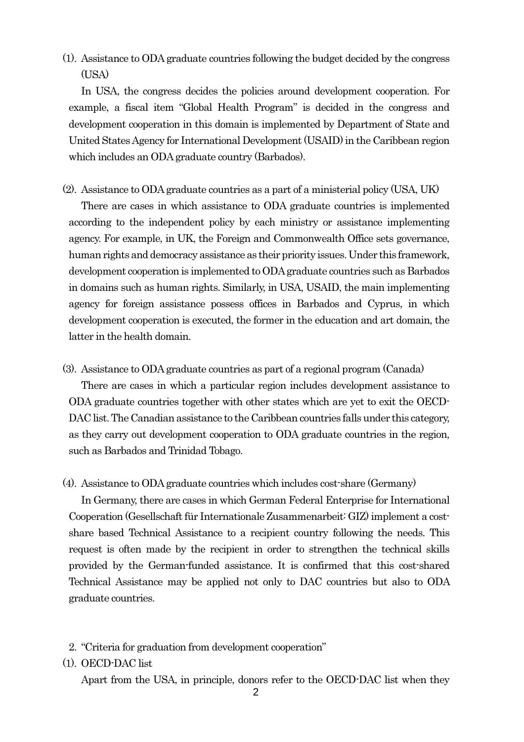(1). Assistance to ODA graduate countries following the budget decided by the congress  $(TISA)$ 

In USA, the congress decides the policies around development cooperation. For example, a fiscal item "Global Health Program" is decided in the congress and development cooperation in this domain is implemented by Department of State and United States Agency for International Development (USAID) in the Caribbean region which includes an ODA graduate country (Barbados).

(2). Assistance to ODA graduate countries as a part of a ministerial policy (USA, UK)

There are cases in which assistance to ODA graduate countries is implemented according to the independent policy by each ministry or assistance implementing agency. For example, in UK, the Foreign and Commonwealth Office sets governance, human rights and democracy assistance as their priority issues. Under this framework, development cooperation is implemented to ODA graduate countries such as Barbados in domains such as human rights. Similarly, in USA, USAID, the main implementing agency for foreign assistance possess offices in Barbados and Cyprus, in which development cooperation is executed, the former in the education and art domain, the latter in the health domain.

(3). Assistance to ODA graduate countries as part of a regional program (Canada)

There are cases in which a particular region includes development assistance to ODA graduate countries together with other states which are yet to exit the OECD-DAC list. The Canadian assistance to the Caribbean countries falls under this category, as they carry out development cooperation to ODA graduate countries in the region, such as Barbados and Trinidad Tobago.

(4). Assistance to ODA graduate countries which includes cost-share (Germany)

In Germany, there are cases in which German Federal Enterprise for International Cooperation (Gesellschaft für Internationale Zusammenarbeit: GIZ) implement a costshare based Technical Assistance to a recipient country following the needs. This request is often made by the recipient in order to strengthen the technical skills provided by the German-funded assistance. It is confirmed that this cost-shared Technical Assistance may be applied not only to DAC countries but also to ODA graduate countries.

- 2. "Criteria for graduation from development cooperation"
- (1). OECD-DAC list

Apart from the USA, in principle, donors refer to the OECD-DAC list when they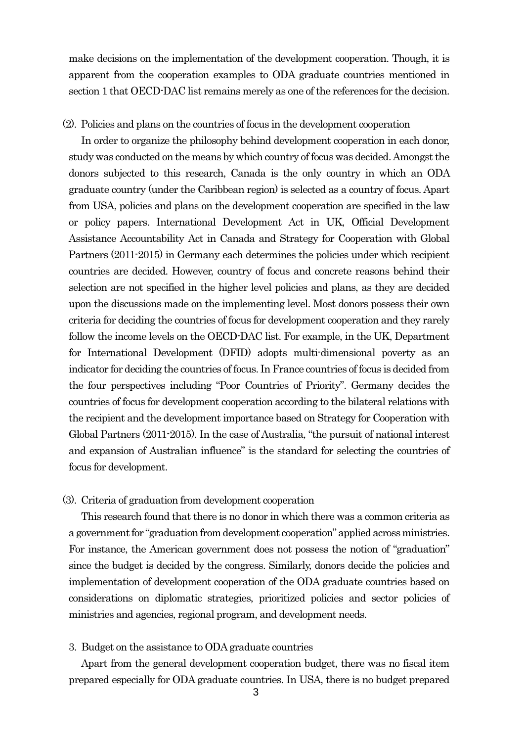make decisions on the implementation of the development cooperation. Though, it is apparent from the cooperation examples to ODA graduate countries mentioned in section 1 that OECD-DAC list remains merely as one of the references for the decision.

#### (2). Policies and plans on the countries of focus in the development cooperation

In order to organize the philosophy behind development cooperation in each donor, study was conducted on the means by which country of focus was decided. Amongst the donors subjected to this research, Canada is the only country in which an ODA graduate country (under the Caribbean region) is selected as a country of focus. Apart from USA, policies and plans on the development cooperation are specified in the law or policy papers. International Development Act in UK, Official Development Assistance Accountability Act in Canada and Strategy for Cooperation with Global Partners (2011-2015) in Germany each determines the policies under which recipient countries are decided. However, country of focus and concrete reasons behind their selection are not specified in the higher level policies and plans, as they are decided upon the discussions made on the implementing level. Most donors possess their own criteria for deciding the countries of focus for development cooperation and they rarely follow the income levels on the OECD-DAC list. For example, in the UK, Department for International Development (DFID) adopts multi-dimensional poverty as an indicator for deciding the countries of focus. In France countries of focus is decided from the four perspectives including "Poor Countries of Priority". Germany decides the countries of focus for development cooperation according to the bilateral relations with the recipient and the development importance based on Strategy for Cooperation with Global Partners (2011-2015). In the case of Australia, "the pursuit of national interest and expansion of Australian influence" is the standard for selecting the countries of focus for development.

### (3). Criteria of graduation from development cooperation

This research found that there is no donor in which there was a common criteria as a government for "graduation from development cooperation" applied across ministries. For instance, the American government does not possess the notion of "graduation" since the budget is decided by the congress. Similarly, donors decide the policies and implementation of development cooperation of the ODA graduate countries based on considerations on diplomatic strategies, prioritized policies and sector policies of ministries and agencies, regional program, and development needs.

### 3. Budget on the assistance to ODA graduate countries

Apart from the general development cooperation budget, there was no fiscal item prepared especially for ODA graduate countries. In USA, there is no budget prepared